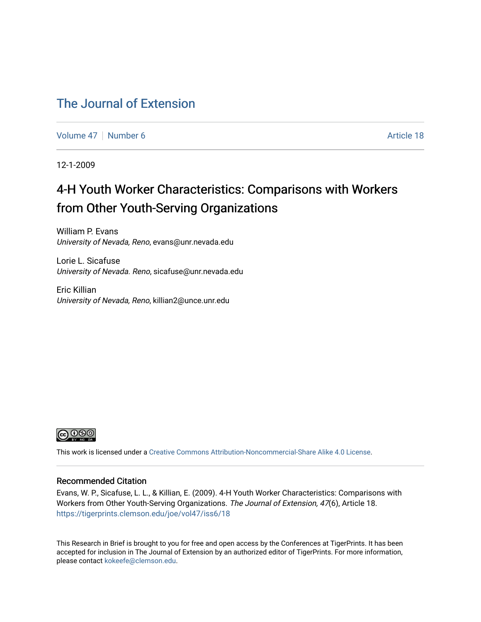### [The Journal of Extension](https://tigerprints.clemson.edu/joe)

[Volume 47](https://tigerprints.clemson.edu/joe/vol47) | [Number 6](https://tigerprints.clemson.edu/joe/vol47/iss6) Article 18

12-1-2009

# 4-H Youth Worker Characteristics: Comparisons with Workers from Other Youth-Serving Organizations

William P. Evans University of Nevada, Reno, evans@unr.nevada.edu

Lorie L. Sicafuse University of Nevada. Reno, sicafuse@unr.nevada.edu

Eric Killian University of Nevada, Reno, killian2@unce.unr.edu



This work is licensed under a [Creative Commons Attribution-Noncommercial-Share Alike 4.0 License.](https://creativecommons.org/licenses/by-nc-sa/4.0/)

#### Recommended Citation

Evans, W. P., Sicafuse, L. L., & Killian, E. (2009). 4-H Youth Worker Characteristics: Comparisons with Workers from Other Youth-Serving Organizations. The Journal of Extension, 47(6), Article 18. <https://tigerprints.clemson.edu/joe/vol47/iss6/18>

This Research in Brief is brought to you for free and open access by the Conferences at TigerPrints. It has been accepted for inclusion in The Journal of Extension by an authorized editor of TigerPrints. For more information, please contact [kokeefe@clemson.edu](mailto:kokeefe@clemson.edu).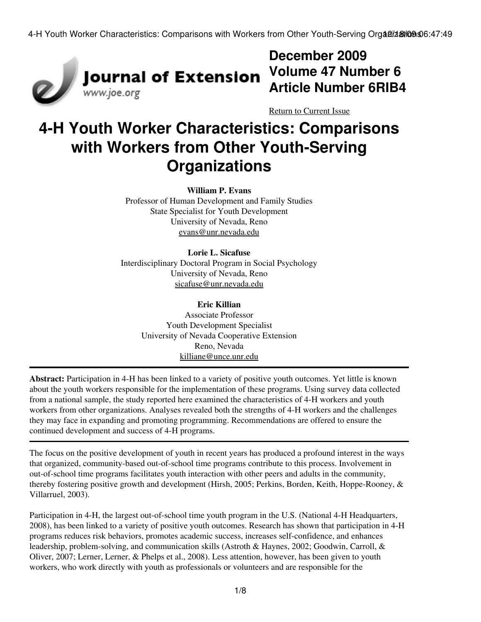

# **December 2009 Volume 47 Number 6 Article Number 6RIB4**

[Return to Current Issue](http://www.joe.org:80/joe/2009december/)

# **4-H Youth Worker Characteristics: Comparisons with Workers from Other Youth-Serving Organizations**

#### **William P. Evans**

Professor of Human Development and Family Studies State Specialist for Youth Development University of Nevada, Reno [evans@unr.nevada.edu](mailto:evans@unr.nevada.edu)

#### **Lorie L. Sicafuse**

Interdisciplinary Doctoral Program in Social Psychology University of Nevada, Reno [sicafuse@unr.nevada.edu](mailto:sicafuse@unr.nevada.edu)

#### **Eric Killian**

Associate Professor Youth Development Specialist University of Nevada Cooperative Extension Reno, Nevada [killiane@unce.unr.edu](mailto:killiane@unce.unr.edu)

**Abstract:** Participation in 4-H has been linked to a variety of positive youth outcomes. Yet little is known about the youth workers responsible for the implementation of these programs. Using survey data collected from a national sample, the study reported here examined the characteristics of 4-H workers and youth workers from other organizations. Analyses revealed both the strengths of 4-H workers and the challenges they may face in expanding and promoting programming. Recommendations are offered to ensure the continued development and success of 4-H programs.

The focus on the positive development of youth in recent years has produced a profound interest in the ways that organized, community-based out-of-school time programs contribute to this process. Involvement in out-of-school time programs facilitates youth interaction with other peers and adults in the community, thereby fostering positive growth and development (Hirsh, 2005; Perkins, Borden, Keith, Hoppe-Rooney, & Villarruel, 2003).

Participation in 4-H, the largest out-of-school time youth program in the U.S. (National 4-H Headquarters, 2008), has been linked to a variety of positive youth outcomes. Research has shown that participation in 4-H programs reduces risk behaviors, promotes academic success, increases self-confidence, and enhances leadership, problem-solving, and communication skills (Astroth & Haynes, 2002; Goodwin, Carroll, & Oliver, 2007; Lerner, Lerner, & Phelps et al., 2008). Less attention, however, has been given to youth workers, who work directly with youth as professionals or volunteers and are responsible for the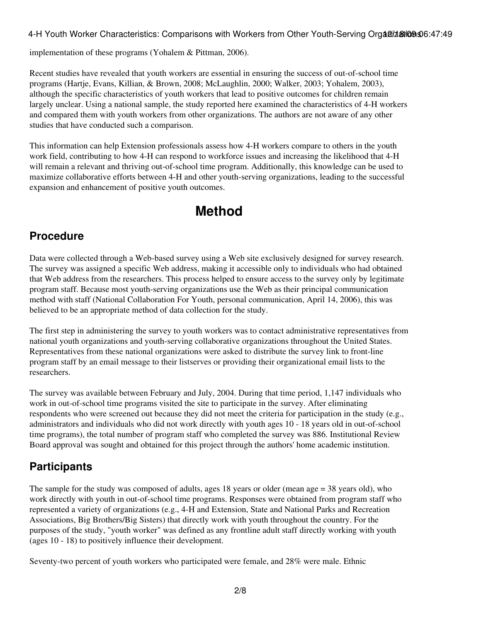implementation of these programs (Yohalem & Pittman, 2006).

Recent studies have revealed that youth workers are essential in ensuring the success of out-of-school time programs (Hartje, Evans, Killian, & Brown, 2008; McLaughlin, 2000; Walker, 2003; Yohalem, 2003), although the specific characteristics of youth workers that lead to positive outcomes for children remain largely unclear. Using a national sample, the study reported here examined the characteristics of 4-H workers and compared them with youth workers from other organizations. The authors are not aware of any other studies that have conducted such a comparison.

This information can help Extension professionals assess how 4-H workers compare to others in the youth work field, contributing to how 4-H can respond to workforce issues and increasing the likelihood that 4-H will remain a relevant and thriving out-of-school time program. Additionally, this knowledge can be used to maximize collaborative efforts between 4-H and other youth-serving organizations, leading to the successful expansion and enhancement of positive youth outcomes.

# **Method**

### **Procedure**

Data were collected through a Web-based survey using a Web site exclusively designed for survey research. The survey was assigned a specific Web address, making it accessible only to individuals who had obtained that Web address from the researchers. This process helped to ensure access to the survey only by legitimate program staff. Because most youth-serving organizations use the Web as their principal communication method with staff (National Collaboration For Youth, personal communication, April 14, 2006), this was believed to be an appropriate method of data collection for the study.

The first step in administering the survey to youth workers was to contact administrative representatives from national youth organizations and youth-serving collaborative organizations throughout the United States. Representatives from these national organizations were asked to distribute the survey link to front-line program staff by an email message to their listserves or providing their organizational email lists to the researchers.

The survey was available between February and July, 2004. During that time period, 1,147 individuals who work in out-of-school time programs visited the site to participate in the survey. After eliminating respondents who were screened out because they did not meet the criteria for participation in the study (e.g., administrators and individuals who did not work directly with youth ages 10 - 18 years old in out-of-school time programs), the total number of program staff who completed the survey was 886. Institutional Review Board approval was sought and obtained for this project through the authors' home academic institution.

### **Participants**

The sample for the study was composed of adults, ages 18 years or older (mean age = 38 years old), who work directly with youth in out-of-school time programs. Responses were obtained from program staff who represented a variety of organizations (e.g., 4-H and Extension, State and National Parks and Recreation Associations, Big Brothers/Big Sisters) that directly work with youth throughout the country. For the purposes of the study, "youth worker" was defined as any frontline adult staff directly working with youth (ages 10 - 18) to positively influence their development.

Seventy-two percent of youth workers who participated were female, and 28% were male. Ethnic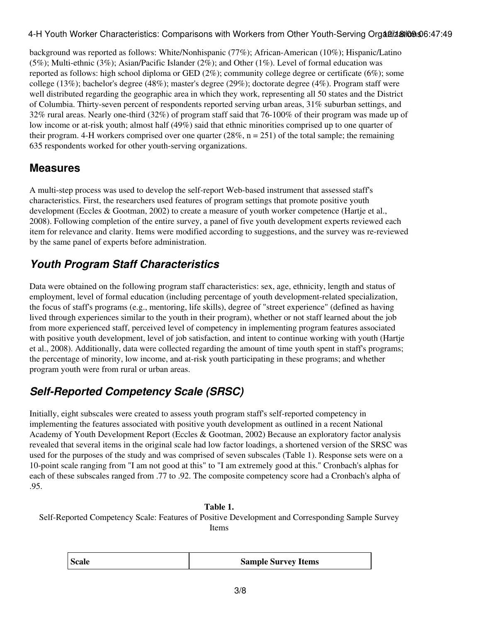background was reported as follows: White/Nonhispanic (77%); African-American (10%); Hispanic/Latino (5%); Multi-ethnic (3%); Asian/Pacific Islander (2%); and Other (1%). Level of formal education was reported as follows: high school diploma or GED (2%); community college degree or certificate (6%); some college (13%); bachelor's degree (48%); master's degree (29%); doctorate degree (4%). Program staff were well distributed regarding the geographic area in which they work, representing all 50 states and the District of Columbia. Thirty-seven percent of respondents reported serving urban areas, 31% suburban settings, and 32% rural areas. Nearly one-third (32%) of program staff said that 76-100% of their program was made up of low income or at-risk youth; almost half (49%) said that ethnic minorities comprised up to one quarter of their program. 4-H workers comprised over one quarter (28%,  $n = 251$ ) of the total sample; the remaining 635 respondents worked for other youth-serving organizations.

### **Measures**

A multi-step process was used to develop the self-report Web-based instrument that assessed staff's characteristics. First, the researchers used features of program settings that promote positive youth development (Eccles & Gootman, 2002) to create a measure of youth worker competence (Hartje et al., 2008). Following completion of the entire survey, a panel of five youth development experts reviewed each item for relevance and clarity. Items were modified according to suggestions, and the survey was re-reviewed by the same panel of experts before administration.

### *Youth Program Staff Characteristics*

Data were obtained on the following program staff characteristics: sex, age, ethnicity, length and status of employment, level of formal education (including percentage of youth development-related specialization, the focus of staff's programs (e.g., mentoring, life skills), degree of "street experience" (defined as having lived through experiences similar to the youth in their program), whether or not staff learned about the job from more experienced staff, perceived level of competency in implementing program features associated with positive youth development, level of job satisfaction, and intent to continue working with youth (Hartje et al., 2008). Additionally, data were collected regarding the amount of time youth spent in staff's programs; the percentage of minority, low income, and at-risk youth participating in these programs; and whether program youth were from rural or urban areas.

# *Self-Reported Competency Scale (SRSC)*

Initially, eight subscales were created to assess youth program staff's self-reported competency in implementing the features associated with positive youth development as outlined in a recent National Academy of Youth Development Report (Eccles & Gootman, 2002) Because an exploratory factor analysis revealed that several items in the original scale had low factor loadings, a shortened version of the SRSC was used for the purposes of the study and was comprised of seven subscales (Table 1). Response sets were on a 10-point scale ranging from "I am not good at this" to "I am extremely good at this." Cronbach's alphas for each of these subscales ranged from .77 to .92. The composite competency score had a Cronbach's alpha of .95.

### **Table 1.**

Self-Reported Competency Scale: Features of Positive Development and Corresponding Sample Survey Items

| <b>Scale</b> | <b>Sample Survey Items</b> |
|--------------|----------------------------|
|--------------|----------------------------|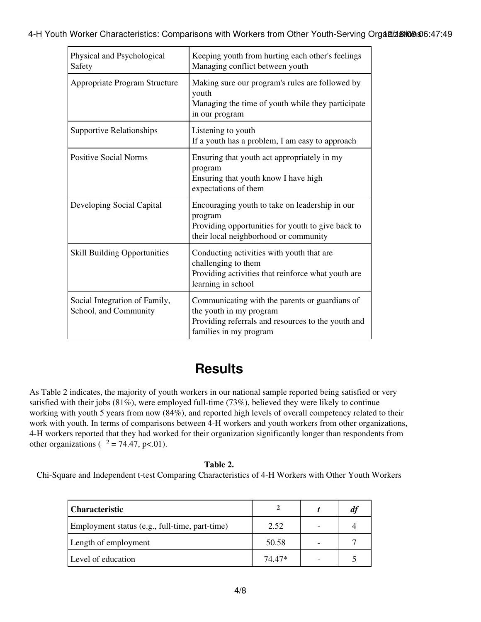| Physical and Psychological<br>Safety                   | Keeping youth from hurting each other's feelings<br>Managing conflict between youth                                                                       |
|--------------------------------------------------------|-----------------------------------------------------------------------------------------------------------------------------------------------------------|
| Appropriate Program Structure                          | Making sure our program's rules are followed by<br>youth<br>Managing the time of youth while they participate<br>in our program                           |
| <b>Supportive Relationships</b>                        | Listening to youth<br>If a youth has a problem, I am easy to approach                                                                                     |
| <b>Positive Social Norms</b>                           | Ensuring that youth act appropriately in my<br>program<br>Ensuring that youth know I have high<br>expectations of them                                    |
| Developing Social Capital                              | Encouraging youth to take on leadership in our<br>program<br>Providing opportunities for youth to give back to<br>their local neighborhood or community   |
| <b>Skill Building Opportunities</b>                    | Conducting activities with youth that are<br>challenging to them<br>Providing activities that reinforce what youth are<br>learning in school              |
| Social Integration of Family,<br>School, and Community | Communicating with the parents or guardians of<br>the youth in my program<br>Providing referrals and resources to the youth and<br>families in my program |

# **Results**

As Table 2 indicates, the majority of youth workers in our national sample reported being satisfied or very satisfied with their jobs (81%), were employed full-time (73%), believed they were likely to continue working with youth 5 years from now (84%), and reported high levels of overall competency related to their work with youth. In terms of comparisons between 4-H workers and youth workers from other organizations, 4-H workers reported that they had worked for their organization significantly longer than respondents from other organizations ( $\alpha^2 = 74.47$ , p<.01).

### **Table 2.**

Chi-Square and Independent t-test Comparing Characteristics of 4-H Workers with Other Youth Workers

| <b>Characteristic</b>                          |        | $\boldsymbol{a}$ |
|------------------------------------------------|--------|------------------|
| Employment status (e.g., full-time, part-time) | 2.52   |                  |
| Length of employment                           | 50.58  |                  |
| Level of education                             | 74.47* |                  |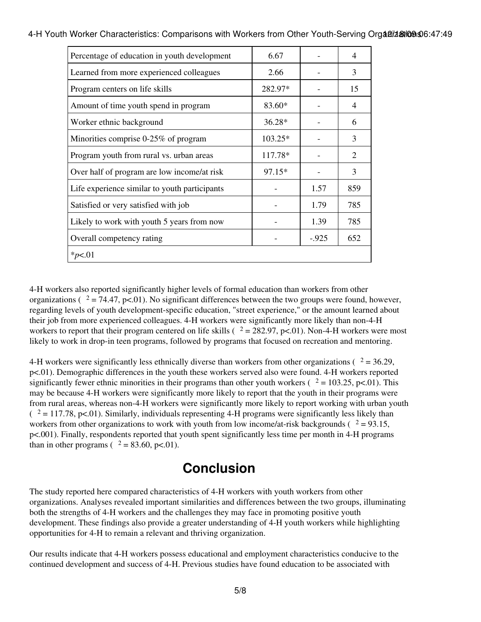| Percentage of education in youth development  | 6.67      |         | $\overline{\mathcal{A}}$ |  |  |
|-----------------------------------------------|-----------|---------|--------------------------|--|--|
| Learned from more experienced colleagues      | 2.66      |         | 3                        |  |  |
| Program centers on life skills                | 282.97*   |         | 15                       |  |  |
| Amount of time youth spend in program         | 83.60*    |         | $\overline{4}$           |  |  |
| Worker ethnic background                      | $36.28*$  |         | 6                        |  |  |
| Minorities comprise 0-25% of program          | $103.25*$ |         | 3                        |  |  |
| Program youth from rural vs. urban areas      | 117.78*   |         | 2                        |  |  |
| Over half of program are low income/at risk   | 97.15*    |         | 3                        |  |  |
| Life experience similar to youth participants |           | 1.57    | 859                      |  |  |
| Satisfied or very satisfied with job          |           | 1.79    | 785                      |  |  |
| Likely to work with youth 5 years from now    |           | 1.39    | 785                      |  |  |
| Overall competency rating                     |           | $-.925$ | 652                      |  |  |
| * $p<.01$                                     |           |         |                          |  |  |

4-H Youth Worker Characteristics: Comparisons with Workers from Other Youth-Serving Organizations 0:47:49

4-H workers also reported significantly higher levels of formal education than workers from other organizations ( $\alpha^2 = 74.47$ , p<.01). No significant differences between the two groups were found, however, regarding levels of youth development-specific education, "street experience," or the amount learned about their job from more experienced colleagues. 4-H workers were significantly more likely than non-4-H workers to report that their program centered on life skills ( $\alpha$  = 282.97, p<.01). Non-4-H workers were most likely to work in drop-in teen programs, followed by programs that focused on recreation and mentoring.

4-H workers were significantly less ethnically diverse than workers from other organizations ( $\alpha$  = 36.29, p<.01). Demographic differences in the youth these workers served also were found. 4-H workers reported significantly fewer ethnic minorities in their programs than other youth workers ( $\alpha$  = 103.25, p<.01). This may be because 4-H workers were significantly more likely to report that the youth in their programs were from rural areas, whereas non-4-H workers were significantly more likely to report working with urban youth  $(2 = 117.78, p<0.01)$ . Similarly, individuals representing 4-H programs were significantly less likely than workers from other organizations to work with youth from low income/at-risk backgrounds ( $2 = 93.15$ , p<.001). Finally, respondents reported that youth spent significantly less time per month in 4-H programs than in other programs ( $\alpha^2 = 83.60$ , p<.01).

# **Conclusion**

The study reported here compared characteristics of 4-H workers with youth workers from other organizations. Analyses revealed important similarities and differences between the two groups, illuminating both the strengths of 4-H workers and the challenges they may face in promoting positive youth development. These findings also provide a greater understanding of 4-H youth workers while highlighting opportunities for 4-H to remain a relevant and thriving organization.

Our results indicate that 4-H workers possess educational and employment characteristics conducive to the continued development and success of 4-H. Previous studies have found education to be associated with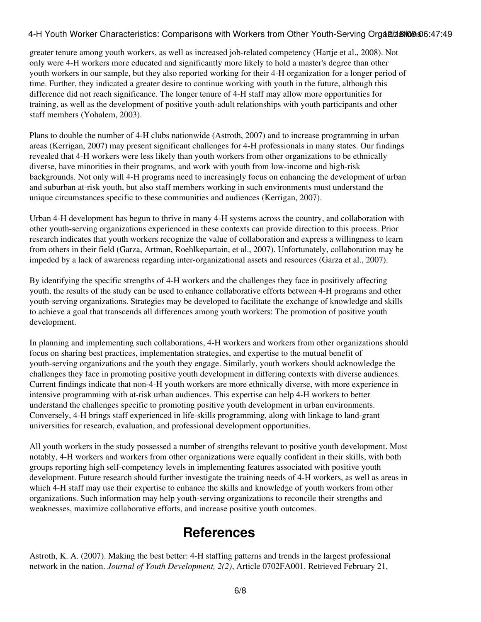greater tenure among youth workers, as well as increased job-related competency (Hartje et al., 2008). Not only were 4-H workers more educated and significantly more likely to hold a master's degree than other youth workers in our sample, but they also reported working for their 4-H organization for a longer period of time. Further, they indicated a greater desire to continue working with youth in the future, although this difference did not reach significance. The longer tenure of 4-H staff may allow more opportunities for training, as well as the development of positive youth-adult relationships with youth participants and other staff members (Yohalem, 2003).

Plans to double the number of 4-H clubs nationwide (Astroth, 2007) and to increase programming in urban areas (Kerrigan, 2007) may present significant challenges for 4-H professionals in many states. Our findings revealed that 4-H workers were less likely than youth workers from other organizations to be ethnically diverse, have minorities in their programs, and work with youth from low-income and high-risk backgrounds. Not only will 4-H programs need to increasingly focus on enhancing the development of urban and suburban at-risk youth, but also staff members working in such environments must understand the unique circumstances specific to these communities and audiences (Kerrigan, 2007).

Urban 4-H development has begun to thrive in many 4-H systems across the country, and collaboration with other youth-serving organizations experienced in these contexts can provide direction to this process. Prior research indicates that youth workers recognize the value of collaboration and express a willingness to learn from others in their field (Garza, Artman, Roehlkepartain, et al., 2007). Unfortunately, collaboration may be impeded by a lack of awareness regarding inter-organizational assets and resources (Garza et al., 2007).

By identifying the specific strengths of 4-H workers and the challenges they face in positively affecting youth, the results of the study can be used to enhance collaborative efforts between 4-H programs and other youth-serving organizations. Strategies may be developed to facilitate the exchange of knowledge and skills to achieve a goal that transcends all differences among youth workers: The promotion of positive youth development.

In planning and implementing such collaborations, 4-H workers and workers from other organizations should focus on sharing best practices, implementation strategies, and expertise to the mutual benefit of youth-serving organizations and the youth they engage. Similarly, youth workers should acknowledge the challenges they face in promoting positive youth development in differing contexts with diverse audiences. Current findings indicate that non-4-H youth workers are more ethnically diverse, with more experience in intensive programming with at-risk urban audiences. This expertise can help 4-H workers to better understand the challenges specific to promoting positive youth development in urban environments. Conversely, 4-H brings staff experienced in life-skills programming, along with linkage to land-grant universities for research, evaluation, and professional development opportunities.

All youth workers in the study possessed a number of strengths relevant to positive youth development. Most notably, 4-H workers and workers from other organizations were equally confident in their skills, with both groups reporting high self-competency levels in implementing features associated with positive youth development. Future research should further investigate the training needs of 4-H workers, as well as areas in which 4-H staff may use their expertise to enhance the skills and knowledge of youth workers from other organizations. Such information may help youth-serving organizations to reconcile their strengths and weaknesses, maximize collaborative efforts, and increase positive youth outcomes.

### **References**

Astroth, K. A. (2007). Making the best better: 4-H staffing patterns and trends in the largest professional network in the nation. *Journal of Youth Development, 2(2)*, Article 0702FA001. Retrieved February 21,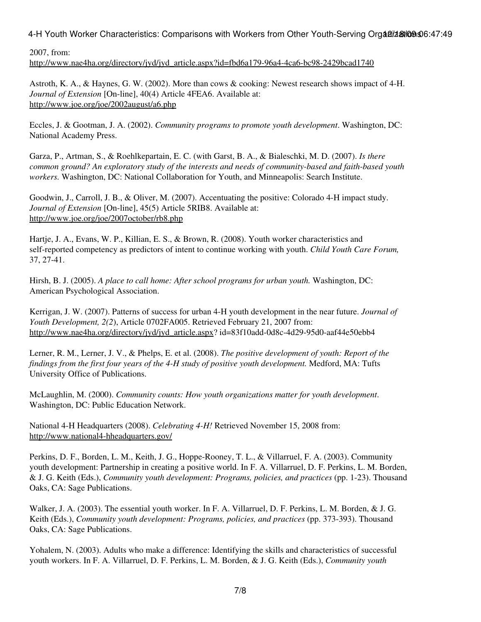2007, from: [http://www.nae4ha.org/directory/jyd/jyd\\_article.aspx?id=fbd6a179-96a4-4ca6-bc98-2429bcad1740](http://www.nae4ha.org/directory/jyd/jyd_article.aspx?id=fbd6a179-96a4-4ca6-bc98-2429bcad1740)

Astroth, K. A., & Haynes, G. W. (2002). More than cows & cooking: Newest research shows impact of 4-H. *Journal of Extension* [On-line], 40(4) Article 4FEA6. Available at: <http://www.joe.org/joe/2002august/a6.php>

Eccles, J. & Gootman, J. A. (2002). *Community programs to promote youth development*. Washington, DC: National Academy Press.

Garza, P., Artman, S., & Roehlkepartain, E. C. (with Garst, B. A., & Bialeschki, M. D. (2007). *Is there common ground? An exploratory study of the interests and needs of community-based and faith-based youth workers.* Washington, DC: National Collaboration for Youth, and Minneapolis: Search Institute.

Goodwin, J., Carroll, J. B., & Oliver, M. (2007). Accentuating the positive: Colorado 4-H impact study. *Journal of Extension* [On-line], 45(5) Article 5RIB8. Available at: <http://www.joe.org/joe/2007october/rb8.php>

Hartje, J. A., Evans, W. P., Killian, E. S., & Brown, R. (2008). Youth worker characteristics and self-reported competency as predictors of intent to continue working with youth. *Child Youth Care Forum,* 37, 27-41.

Hirsh, B. J. (2005). *A place to call home: After school programs for urban youth.* Washington, DC: American Psychological Association.

Kerrigan, J. W. (2007). Patterns of success for urban 4-H youth development in the near future. *Journal of Youth Development, 2(2*), Article 0702FA005. Retrieved February 21, 2007 from: [http://www.nae4ha.org/directory/jyd/jyd\\_article.aspx?](http://www.nae4ha.org/directory/jyd/jyd_article.aspx) id=83f10add-0d8c-4d29-95d0-aaf44e50ebb4

Lerner, R. M., Lerner, J. V., & Phelps, E. et al. (2008). *The positive development of youth: Report of the findings from the first four years of the 4-H study of positive youth development.* Medford, MA: Tufts University Office of Publications.

McLaughlin, M. (2000). *Community counts: How youth organizations matter for youth development*. Washington, DC: Public Education Network.

National 4-H Headquarters (2008). *Celebrating 4-H!* Retrieved November 15, 2008 from: <http://www.national4-hheadquarters.gov/>

Perkins, D. F., Borden, L. M., Keith, J. G., Hoppe-Rooney, T. L., & Villarruel, F. A. (2003). Community youth development: Partnership in creating a positive world. In F. A. Villarruel, D. F. Perkins, L. M. Borden, & J. G. Keith (Eds.), *Community youth development: Programs, policies, and practices* (pp. 1-23). Thousand Oaks, CA: Sage Publications.

Walker, J. A. (2003). The essential youth worker. In F. A. Villarruel, D. F. Perkins, L. M. Borden, & J. G. Keith (Eds.), *Community youth development: Programs, policies, and practices* (pp. 373-393). Thousand Oaks, CA: Sage Publications.

Yohalem, N. (2003). Adults who make a difference: Identifying the skills and characteristics of successful youth workers. In F. A. Villarruel, D. F. Perkins, L. M. Borden, & J. G. Keith (Eds.), *Community youth*